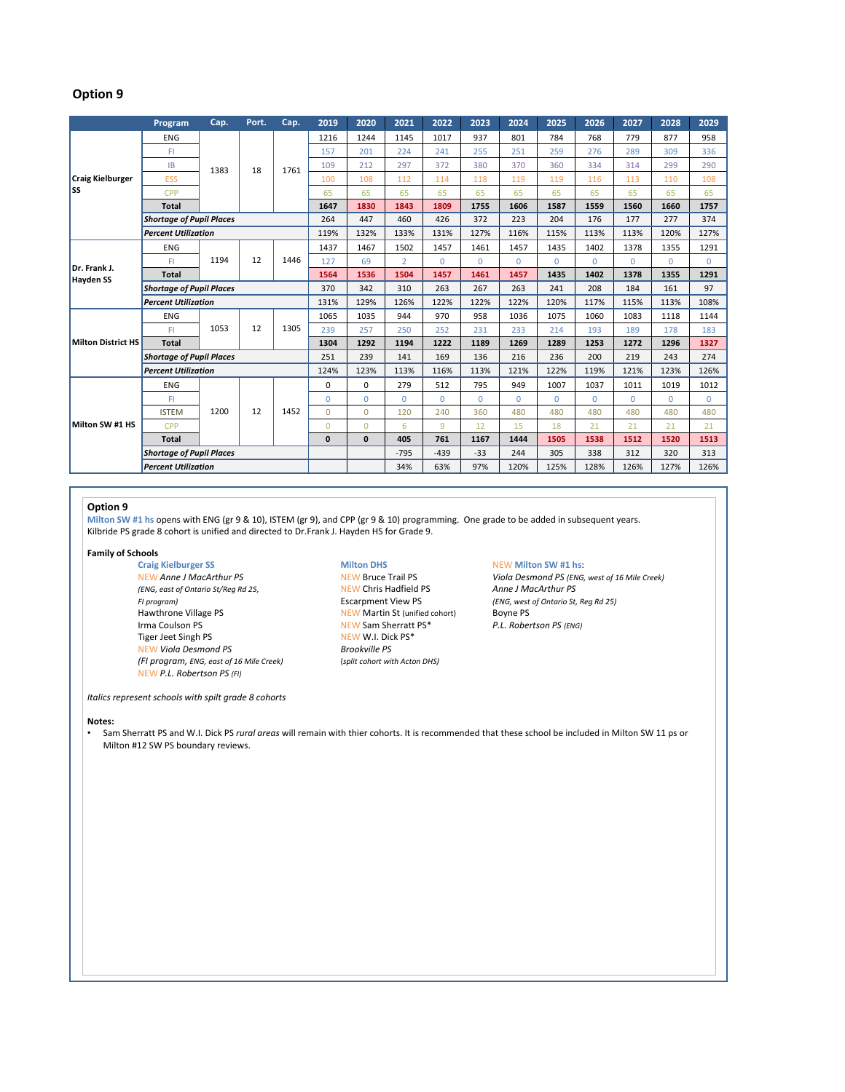## **Option 9**

|                                  | Program                         | Cap. | Port. | Cap. | 2019         | 2020         | 2021           | 2022         | 2023     | 2024     | 2025        | 2026     | 2027     | 2028         | 2029     |
|----------------------------------|---------------------------------|------|-------|------|--------------|--------------|----------------|--------------|----------|----------|-------------|----------|----------|--------------|----------|
| <b>Craig Kielburger</b><br>lss   | ENG                             | 1383 | 18    | 1761 | 1216         | 1244         | 1145           | 1017         | 937      | 801      | 784         | 768      | 779      | 877          | 958      |
|                                  | FI                              |      |       |      | 157          | 201          | 224            | 241          | 255      | 251      | 259         | 276      | 289      | 309          | 336      |
|                                  | IB                              |      |       |      | 109          | 212          | 297            | 372          | 380      | 370      | 360         | 334      | 314      | 299          | 290      |
|                                  | ESS                             |      |       |      | 100          | 108          | 112            | 114          | 118      | 119      | 119         | 116      | 113      | 110          | 108      |
|                                  | <b>CPP</b>                      |      |       |      | 65           | 65           | 65             | 65           | 65       | 65       | 65          | 65       | 65       | 65           | 65       |
|                                  | <b>Total</b>                    |      |       |      | 1647         | 1830         | 1843           | 1809         | 1755     | 1606     | 1587        | 1559     | 1560     | 1660         | 1757     |
|                                  | <b>Shortage of Pupil Places</b> |      |       |      | 264          | 447          | 460            | 426          | 372      | 223      | 204         | 176      | 177      | 277          | 374      |
|                                  | <b>Percent Utilization</b>      |      |       |      | 119%         | 132%         | 133%           | 131%         | 127%     | 116%     | 115%        | 113%     | 113%     | 120%         | 127%     |
| Dr. Frank J.<br><b>Hayden SS</b> | <b>ENG</b>                      | 1194 | 12    | 1446 | 1437         | 1467         | 1502           | 1457         | 1461     | 1457     | 1435        | 1402     | 1378     | 1355         | 1291     |
|                                  | FI                              |      |       |      | 127          | 69           | $\overline{2}$ | $\mathbf{0}$ | $\Omega$ | $\Omega$ | $\mathbf 0$ | $\Omega$ | $\Omega$ | $\Omega$     | $\Omega$ |
|                                  | <b>Total</b>                    |      |       |      | 1564         | 1536         | 1504           | 1457         | 1461     | 1457     | 1435        | 1402     | 1378     | 1355         | 1291     |
|                                  | <b>Shortage of Pupil Places</b> |      |       |      | 370          | 342          | 310            | 263          | 267      | 263      | 241         | 208      | 184      | 161          | 97       |
|                                  | <b>Percent Utilization</b>      |      |       |      | 131%         | 129%         | 126%           | 122%         | 122%     | 122%     | 120%        | 117%     | 115%     | 113%         | 108%     |
| <b>Milton District HS</b>        | ENG                             | 1053 | 12    | 1305 | 1065         | 1035         | 944            | 970          | 958      | 1036     | 1075        | 1060     | 1083     | 1118         | 1144     |
|                                  | FI                              |      |       |      | 239          | 257          | 250            | 252          | 231      | 233      | 214         | 193      | 189      | 178          | 183      |
|                                  | <b>Total</b>                    |      |       |      | 1304         | 1292         | 1194           | 1222         | 1189     | 1269     | 1289        | 1253     | 1272     | 1296         | 1327     |
|                                  | <b>Shortage of Pupil Places</b> |      |       |      | 251          | 239          | 141            | 169          | 136      | 216      | 236         | 200      | 219      | 243          | 274      |
|                                  | <b>Percent Utilization</b>      |      |       |      | 124%         | 123%         | 113%           | 116%         | 113%     | 121%     | 122%        | 119%     | 121%     | 123%         | 126%     |
| Milton SW #1 HS                  | <b>ENG</b>                      | 1200 | 12    | 1452 | 0            | $\mathbf 0$  | 279            | 512          | 795      | 949      | 1007        | 1037     | 1011     | 1019         | 1012     |
|                                  | FI                              |      |       |      | $\Omega$     | $\Omega$     | $\Omega$       | $\mathbf 0$  | $\Omega$ | $\Omega$ | $\Omega$    | $\Omega$ | $\Omega$ | $\mathbf{0}$ | $\Omega$ |
|                                  | <b>ISTEM</b>                    |      |       |      | $\Omega$     | $\Omega$     | 120            | 240          | 360      | 480      | 480         | 480      | 480      | 480          | 480      |
|                                  | <b>CPP</b>                      |      |       |      | $\Omega$     | $\Omega$     | 6              | 9            | 12       | 15       | 18          | 21       | 21       | 21           | 21       |
|                                  | <b>Total</b>                    |      |       |      | $\mathbf{0}$ | $\mathbf{0}$ | 405            | 761          | 1167     | 1444     | 1505        | 1538     | 1512     | 1520         | 1513     |
|                                  | <b>Shortage of Pupil Places</b> |      |       |      |              |              | $-795$         | $-439$       | $-33$    | 244      | 305         | 338      | 312      | 320          | 313      |
|                                  | <b>Percent Utilization</b>      |      |       |      |              |              | 34%            | 63%          | 97%      | 120%     | 125%        | 128%     | 126%     | 127%         | 126%     |

## **Option 9**

**Milton SW #1 hs** opens with ENG (gr 9 & 10), ISTEM (gr 9), and CPP (gr 9 & 10) programming. One grade to be added in subsequent years. Kilbride PS grade 8 cohort is unified and directed to Dr.Frank J. Hayden HS for Grade 9.

# **Family of Schools**

**Craig Kielburger SS Milton DHS** NEW **Milton SW #1 hs**: *(ENG, east of Ontario St/Reg Rd 25,* NEW Chris Hadfield PS<br>*FI program*) **Anne J MacArthur PS Anne PS Anne PS** *FI program)* Escarpment View PS *(ENG, west of Ontario St, Reg Rd 25)* Irma Coulson PS **NEW Sam Sherratt PS<sup>\*</sup>** P.L. Robertson PS (ENG)<br>
Tiger Jeet Singh PS **NEW W.L. Dick PS<sup>\*</sup>** Tiger Jeet Singh PS<br>NEW Viola Desmond PS<br>Rrookville PS\* **NEW Viola Desmond PS** *(FI program, ENG, east of 16 Mile Creek)* (*split cohort with Acton DHS)* NEW *P.L. Robertson PS (FI)*

*Italics represent schools with spilt grade 8 cohorts*

### **Notes:**

- Sam Sherratt PS and W.I. Dick PS *rural areas* will remain with thier cohorts. It is recommended that these school be included in Milton SW 11 ps or Milton #12 SW PS boundary reviews.
- **NEW Martin St (unified cohort)** Boyne PS

NEW *Anne J MacArthur PS* NEW Bruce Trail PS *Viola Desmond PS (ENG, west of 16 Mile Creek)*